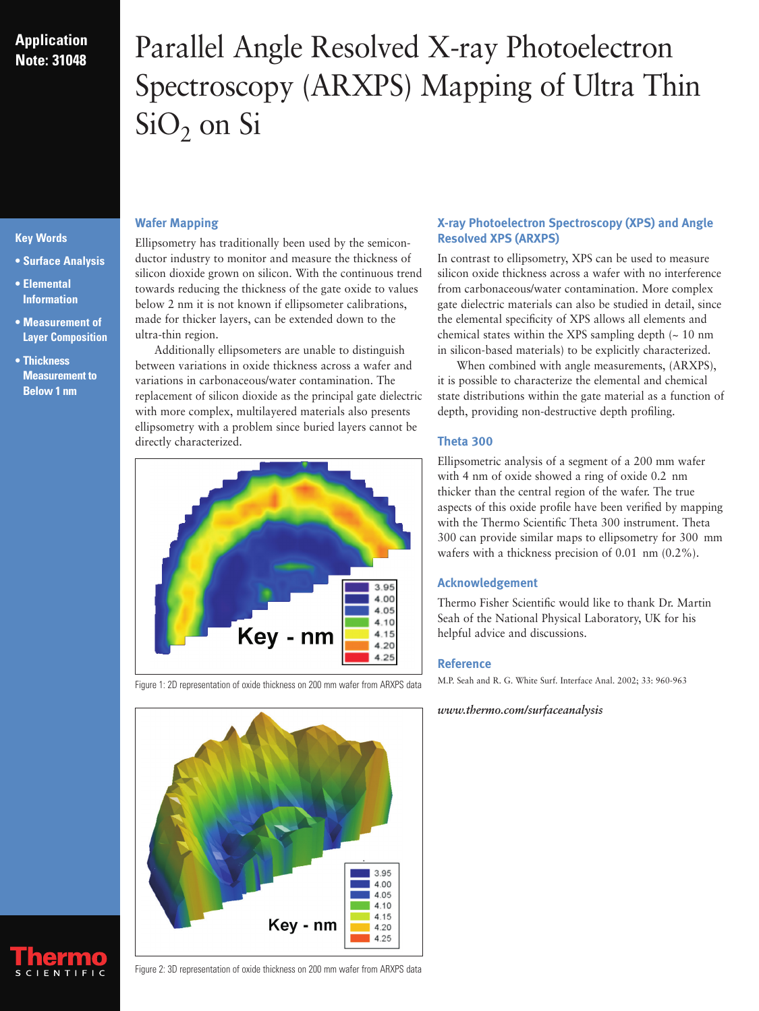# **Application Note: 31048**

# Parallel Angle Resolved X-ray Photoelectron Spectroscopy (ARXPS) Mapping of Ultra Thin  $SiO<sub>2</sub>$  on Si

- **Surface Analysis**
- **Elemental Information**

**Key Words**

- **Measurement of Layer Composition**
- **Thickness Measurement to Below 1 nm**

# **Wafer Mapping**

Ellipsometry has traditionally been used by the semiconductor industry to monitor and measure the thickness of silicon dioxide grown on silicon. With the continuous trend towards reducing the thickness of the gate oxide to values below 2 nm it is not known if ellipsometer calibrations, made for thicker layers, can be extended down to the ultra-thin region.

Additionally ellipsometers are unable to distinguish between variations in oxide thickness across a wafer and variations in carbonaceous/water contamination. The replacement of silicon dioxide as the principal gate dielectric with more complex, multilayered materials also presents ellipsometry with a problem since buried layers cannot be directly characterized.





### Figure 1: 2D representation of oxide thickness on 200 mm wafer from ARXPS data

# Figure 2: 3D representation of oxide thickness on 200 mm wafer from ARXPS data

# **X-ray Photoelectron Spectroscopy (XPS) and Angle Resolved XPS (ARXPS)**

In contrast to ellipsometry, XPS can be used to measure silicon oxide thickness across a wafer with no interference from carbonaceous/water contamination. More complex gate dielectric materials can also be studied in detail, since the elemental specificity of XPS allows all elements and chemical states within the XPS sampling depth  $($   $\sim$  10 nm in silicon-based materials) to be explicitly characterized.

When combined with angle measurements, (ARXPS), it is possible to characterize the elemental and chemical state distributions within the gate material as a function of depth, providing non-destructive depth profiling.

# **Theta 300**

Ellipsometric analysis of a segment of a 200 mm wafer with 4 nm of oxide showed a ring of oxide 0.2 nm thicker than the central region of the wafer. The true aspects of this oxide profile have been verified by mapping with the Thermo Scientific Theta 300 instrument. Theta 300 can provide similar maps to ellipsometry for 300 mm wafers with a thickness precision of 0.01 nm (0.2%).

# **Acknowledgement**

Thermo Fisher Scientific would like to thank Dr. Martin Seah of the National Physical Laboratory, UK for his helpful advice and discussions.

## **Reference**

M.P. Seah and R. G. White Surf. Interface Anal. 2002; 33: 960-963

# *www.thermo.com/surfaceanalysis*